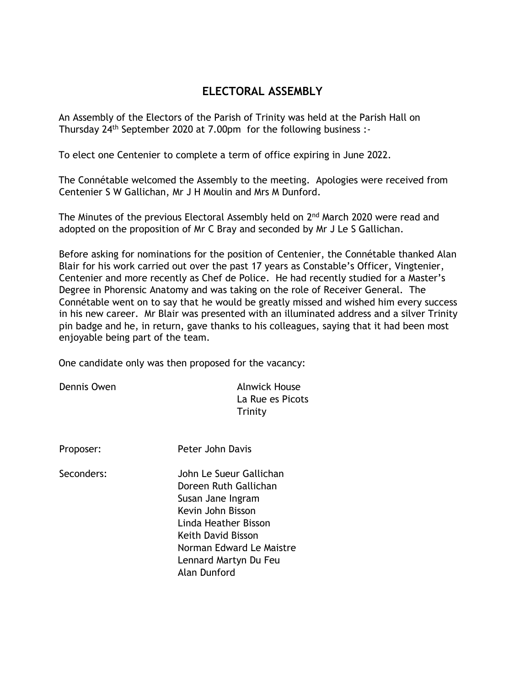## **ELECTORAL ASSEMBLY**

An Assembly of the Electors of the Parish of Trinity was held at the Parish Hall on Thursday 24<sup>th</sup> September 2020 at 7.00pm for the following business :-

To elect one Centenier to complete a term of office expiring in June 2022.

The Connétable welcomed the Assembly to the meeting. Apologies were received from Centenier S W Gallichan, Mr J H Moulin and Mrs M Dunford.

The Minutes of the previous Electoral Assembly held on 2<sup>nd</sup> March 2020 were read and adopted on the proposition of Mr C Bray and seconded by Mr J Le S Gallichan.

Before asking for nominations for the position of Centenier, the Connétable thanked Alan Blair for his work carried out over the past 17 years as Constable's Officer, Vingtenier, Centenier and more recently as Chef de Police. He had recently studied for a Master's Degree in Phorensic Anatomy and was taking on the role of Receiver General. The Connétable went on to say that he would be greatly missed and wished him every success in his new career. Mr Blair was presented with an illuminated address and a silver Trinity pin badge and he, in return, gave thanks to his colleagues, saying that it had been most enjoyable being part of the team.

One candidate only was then proposed for the vacancy:

Dennis Owen **Alnwick House** La Rue es Picots **Trinity** 

Proposer: Peter John Davis

- 
- Seconders: John Le Sueur Gallichan Doreen Ruth Gallichan Susan Jane Ingram Kevin John Bisson Linda Heather Bisson Keith David Bisson Norman Edward Le Maistre Lennard Martyn Du Feu Alan Dunford